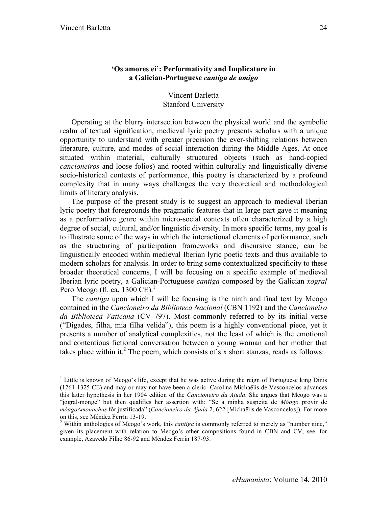# **'Os amores ei': Performativity and Implicature in a Galician-Portuguese** *cantiga de amigo*

Vincent Barletta Stanford University

Operating at the blurry intersection between the physical world and the symbolic realm of textual signification, medieval lyric poetry presents scholars with a unique opportunity to understand with greater precision the ever-shifting relations between literature, culture, and modes of social interaction during the Middle Ages. At once situated within material, culturally structured objects (such as hand-copied *cancioneiros* and loose folios) and rooted within culturally and linguistically diverse socio-historical contexts of performance, this poetry is characterized by a profound complexity that in many ways challenges the very theoretical and methodological limits of literary analysis.

The purpose of the present study is to suggest an approach to medieval Iberian lyric poetry that foregrounds the pragmatic features that in large part gave it meaning as a performative genre within micro-social contexts often characterized by a high degree of social, cultural, and/or linguistic diversity. In more specific terms, my goal is to illustrate some of the ways in which the interactional elements of performance, such as the structuring of participation frameworks and discursive stance, can be linguistically encoded within medieval Iberian lyric poetic texts and thus available to modern scholars for analysis. In order to bring some contextualized specificity to these broader theoretical concerns, I will be focusing on a specific example of medieval Iberian lyric poetry, a Galician-Portuguese *cantiga* composed by the Galician *xogral* Pero Meogo (fl. ca. 1300 CE).<sup>1</sup>

The *cantiga* upon which I will be focusing is the ninth and final text by Meogo contained in the *Cancioneiro da Biblioteca Nacional* (CBN 1192) and the *Cancioneiro da Biblioteca Vaticana* (CV 797). Most commonly referred to by its initial verse ("Digades, filha, mia filha velida"), this poem is a highly conventional piece, yet it presents a number of analytical complexities, not the least of which is the emotional and contentious fictional conversation between a young woman and her mother that takes place within it. $2$  The poem, which consists of six short stanzas, reads as follows:

 $\frac{1}{1}$  $\frac{1}{2}$  Little is known of Meogo's life, except that he was active during the reign of Portuguese king Dinis (1261-1325 CE) and may or may not have been a cleric. Carolina Michaëlis de Vasconcelos advances this latter hypothesis in her 1904 edition of the *Cancioneiro da Ajuda*. She argues that Meogo was a "jogral-monge" but then qualifies her assertion with: "Se a minha suspeita de *Móogo* provir de *móago*<*monachus* fôr justificada" (*Cancioneiro da Ajuda* 2, 622 [Michaëlis de Vasconcelos]). For more on this, see Méndez Ferrín 13-19. <sup>2</sup>

<sup>&</sup>lt;sup>2</sup> Within anthologies of Meogo's work, this *cantiga* is commonly referred to merely as "number nine," given its placement with relation to Meogo's other compositions found in CBN and CV; see, for example, Azavedo Filho 86-92 and Méndez Ferrín 187-93.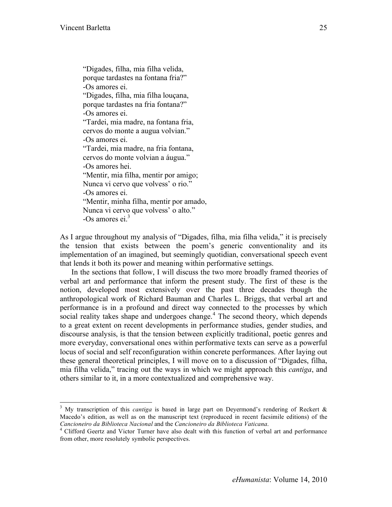"Digades, filha, mia filha velida, porque tardastes na fontana fria?" -Os amores ei. "Digades, filha, mia filha louçana, porque tardastes na fria fontana?" -Os amores ei. "Tardei, mia madre, na fontana fria, cervos do monte a augua volvian." -Os amores ei. "Tardei, mia madre, na fria fontana, cervos do monte volvian a áugua." -Os amores hei. "Mentir, mia filha, mentir por amigo; Nunca vi cervo que volvess' o rio." -Os amores ei. "Mentir, minha filha, mentir por amado, Nunca vi cervo que volvess' o alto."  $-Os$  amores ei. $3$ 

As I argue throughout my analysis of "Digades, filha, mia filha velida," it is precisely the tension that exists between the poem's generic conventionality and its implementation of an imagined, but seemingly quotidian, conversational speech event that lends it both its power and meaning within performative settings.

In the sections that follow, I will discuss the two more broadly framed theories of verbal art and performance that inform the present study. The first of these is the notion, developed most extensively over the past three decades though the anthropological work of Richard Bauman and Charles L. Briggs, that verbal art and performance is in a profound and direct way connected to the processes by which social reality takes shape and undergoes change.<sup>4</sup> The second theory, which depends to a great extent on recent developments in performance studies, gender studies, and discourse analysis, is that the tension between explicitly traditional, poetic genres and more everyday, conversational ones within performative texts can serve as a powerful locus of social and self reconfiguration within concrete performances. After laying out these general theoretical principles, I will move on to a discussion of "Digades, filha, mia filha velida," tracing out the ways in which we might approach this *cantiga*, and others similar to it, in a more contextualized and comprehensive way.

 <sup>3</sup>  $3$  My transcription of this *cantiga* is based in large part on Deyermond's rendering of Reckert  $\&$ Macedo's edition, as well as on the manuscript text (reproduced in recent facsimile editions) of the *Cancioneiro da Biblioteca Nacional* and the *Cancioneiro da Biblioteca Vaticana*. <sup>4</sup>

<sup>&</sup>lt;sup>4</sup> Clifford Geertz and Victor Turner have also dealt with this function of verbal art and performance from other, more resolutely symbolic perspectives.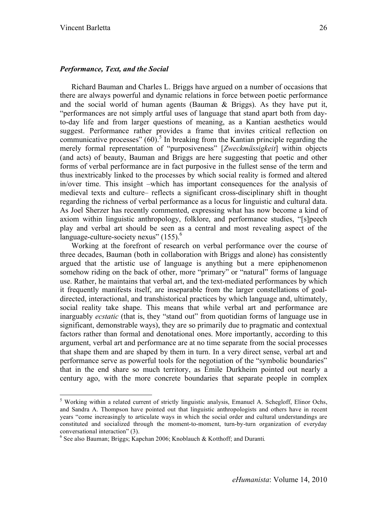#### *Performance, Text, and the Social*

Richard Bauman and Charles L. Briggs have argued on a number of occasions that there are always powerful and dynamic relations in force between poetic performance and the social world of human agents (Bauman & Briggs). As they have put it, "performances are not simply artful uses of language that stand apart both from dayto-day life and from larger questions of meaning, as a Kantian aesthetics would suggest. Performance rather provides a frame that invites critical reflection on communicative processes"  $(60)$ <sup>5</sup>. In breaking from the Kantian principle regarding the merely formal representation of "purposiveness" [*Zweckmässigkeit*] within objects (and acts) of beauty, Bauman and Briggs are here suggesting that poetic and other forms of verbal performance are in fact purposive in the fullest sense of the term and thus inextricably linked to the processes by which social reality is formed and altered in/over time. This insight –which has important consequences for the analysis of medieval texts and culture– reflects a significant cross-disciplinary shift in thought regarding the richness of verbal performance as a locus for linguistic and cultural data. As Joel Sherzer has recently commented, expressing what has now become a kind of axiom within linguistic anthropology, folklore, and performance studies, "[s]peech play and verbal art should be seen as a central and most revealing aspect of the language-culture-society nexus"  $(155)$ .<sup>6</sup>

Working at the forefront of research on verbal performance over the course of three decades, Bauman (both in collaboration with Briggs and alone) has consistently argued that the artistic use of language is anything but a mere epiphenomenon somehow riding on the back of other, more "primary" or "natural" forms of language use. Rather, he maintains that verbal art, and the text-mediated performances by which it frequently manifests itself, are inseparable from the larger constellations of goaldirected, interactional, and transhistorical practices by which language and, ultimately, social reality take shape. This means that while verbal art and performance are inarguably *ecstatic* (that is, they "stand out" from quotidian forms of language use in significant, demonstrable ways), they are so primarily due to pragmatic and contextual factors rather than formal and denotational ones. More importantly, according to this argument, verbal art and performance are at no time separate from the social processes that shape them and are shaped by them in turn. In a very direct sense, verbal art and performance serve as powerful tools for the negotiation of the "symbolic boundaries" that in the end share so much territory, as Émile Durkheim pointed out nearly a century ago, with the more concrete boundaries that separate people in complex

 <sup>5</sup>  $<sup>5</sup>$  Working within a related current of strictly linguistic analysis, Emanuel A. Schegloff, Elinor Ochs,</sup> and Sandra A. Thompson have pointed out that linguistic anthropologists and others have in recent years "come increasingly to articulate ways in which the social order and cultural understandings are constituted and socialized through the moment-to-moment, turn-by-turn organization of everyday conversational interaction" (3).

<sup>6</sup> See also Bauman; Briggs; Kapchan 2006; Knoblauch & Kotthoff; and Duranti*.*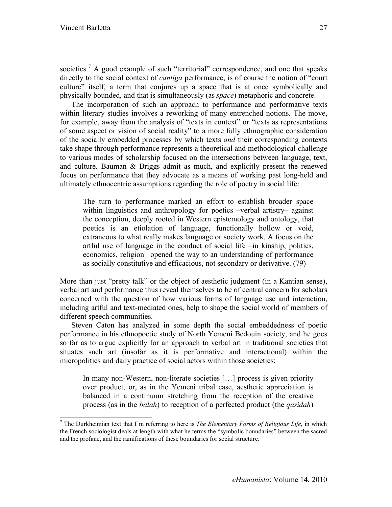societies.<sup>7</sup> A good example of such "territorial" correspondence, and one that speaks directly to the social context of *cantiga* performance, is of course the notion of "court culture" itself, a term that conjures up a space that is at once symbolically and physically bounded, and that is simultaneously (as *space*) metaphoric and concrete.

The incorporation of such an approach to performance and performative texts within literary studies involves a reworking of many entrenched notions. The move, for example, away from the analysis of "texts in context" or "texts as representations of some aspect or vision of social reality" to a more fully ethnographic consideration of the socially embedded processes by which texts *and* their corresponding contexts take shape through performance represents a theoretical and methodological challenge to various modes of scholarship focused on the intersections between language, text, and culture. Bauman & Briggs admit as much, and explicitly present the renewed focus on performance that they advocate as a means of working past long-held and ultimately ethnocentric assumptions regarding the role of poetry in social life:

The turn to performance marked an effort to establish broader space within linguistics and anthropology for poetics –verbal artistry– against the conception, deeply rooted in Western epistemology and ontology, that poetics is an etiolation of language, functionally hollow or void, extraneous to what really makes language or society work. A focus on the artful use of language in the conduct of social life –in kinship, politics, economics, religion– opened the way to an understanding of performance as socially constitutive and efficacious, not secondary or derivative. (79)

More than just "pretty talk" or the object of aesthetic judgment (in a Kantian sense), verbal art and performance thus reveal themselves to be of central concern for scholars concerned with the question of how various forms of language use and interaction, including artful and text-mediated ones, help to shape the social world of members of different speech communities.

Steven Caton has analyzed in some depth the social embeddedness of poetic performance in his ethnopoetic study of North Yemeni Bedouin society, and he goes so far as to argue explicitly for an approach to verbal art in traditional societies that situates such art (insofar as it is performative and interactional) within the micropolitics and daily practice of social actors within those societies:

In many non-Western, non-literate societies […] process is given priority over product, or, as in the Yemeni tribal case, aesthetic appreciation is balanced in a continuum stretching from the reception of the creative process (as in the *balah*) to reception of a perfected product (the *qasidah*)

<sup>-&</sup>lt;br>7 The Durkheimian text that I'm referring to here is *The Elementary Forms of Religious Life*, in which the French sociologist deals at length with what he terms the "symbolic boundaries" between the sacred and the profane, and the ramifications of these boundaries for social structure.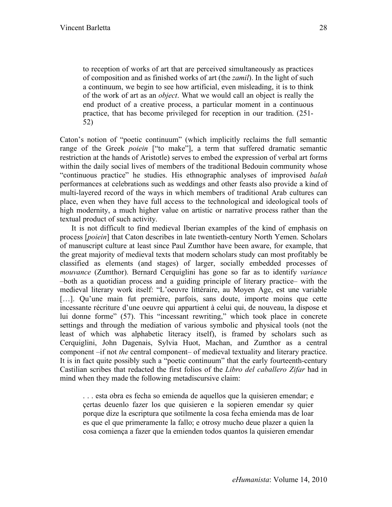to reception of works of art that are perceived simultaneously as practices of composition and as finished works of art (the *zamil*). In the light of such a continuum, we begin to see how artificial, even misleading, it is to think of the work of art as an *object*. What we would call an object is really the end product of a creative process, a particular moment in a continuous practice, that has become privileged for reception in our tradition. (251- 52)

Caton's notion of "poetic continuum" (which implicitly reclaims the full semantic range of the Greek *poiein* ["to make"], a term that suffered dramatic semantic restriction at the hands of Aristotle) serves to embed the expression of verbal art forms within the daily social lives of members of the traditional Bedouin community whose "continuous practice" he studies. His ethnographic analyses of improvised *balah* performances at celebrations such as weddings and other feasts also provide a kind of multi-layered record of the ways in which members of traditional Arab cultures can place, even when they have full access to the technological and ideological tools of high modernity, a much higher value on artistic or narrative process rather than the textual product of such activity.

It is not difficult to find medieval Iberian examples of the kind of emphasis on process [*poiein*] that Caton describes in late twentieth-century North Yemen. Scholars of manuscript culture at least since Paul Zumthor have been aware, for example, that the great majority of medieval texts that modern scholars study can most profitably be classified as elements (and stages) of larger, socially embedded processes of *mouvance* (Zumthor). Bernard Cerquiglini has gone so far as to identify *variance* –both as a quotidian process and a guiding principle of literary practice– with the medieval literary work itself: "L'oeuvre littéraire, au Moyen Age, est une variable [...]. Qu'une main fut première, parfois, sans doute, importe moins que cette incessante récriture d'une oeuvre qui appartient à celui qui, de nouveau, la dispose et lui donne forme" (57). This "incessant rewriting," which took place in concrete settings and through the mediation of various symbolic and physical tools (not the least of which was alphabetic literacy itself), is framed by scholars such as Cerquiglini, John Dagenais, Sylvia Huot, Machan, and Zumthor as a central component –if not *the* central component– of medieval textuality and literary practice. It is in fact quite possibly such a "poetic continuum" that the early fourteenth-century Castilian scribes that redacted the first folios of the *Libro del caballero Zifar* had in mind when they made the following metadiscursive claim:

. . . esta obra es fecha so emienda de aquellos que la quisieren emendar; e çertas deuenlo fazer los que quisieren e la sopieren emendar sy quier porque dize la escriptura que sotilmente la cosa fecha emienda mas de loar es que el que primeramente la fallo; e otrosy mucho deue plazer a quien la cosa comiença a fazer que la emienden todos quantos la quisieren emendar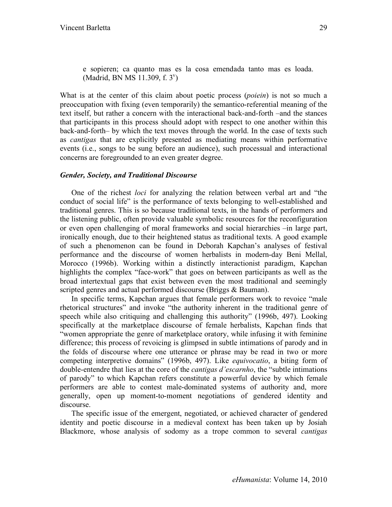e sopieren; ca quanto mas es la cosa emendada tanto mas es loada. (Madrid, BN MS 11.309, f. 3<sup>v</sup>)

What is at the center of this claim about poetic process (*poiein*) is not so much a preoccupation with fixing (even temporarily) the semantico-referential meaning of the text itself, but rather a concern with the interactional back-and-forth –and the stances that participants in this process should adopt with respect to one another within this back-and-forth– by which the text moves through the world. In the case of texts such as *cantigas* that are explicitly presented as mediating means within performative events (i.e., songs to be sung before an audience), such processual and interactional concerns are foregrounded to an even greater degree.

### *Gender, Society, and Traditional Discourse*

One of the richest *loci* for analyzing the relation between verbal art and "the conduct of social life" is the performance of texts belonging to well-established and traditional genres. This is so because traditional texts, in the hands of performers and the listening public, often provide valuable symbolic resources for the reconfiguration or even open challenging of moral frameworks and social hierarchies –in large part, ironically enough, due to their heightened status as traditional texts. A good example of such a phenomenon can be found in Deborah Kapchan's analyses of festival performance and the discourse of women herbalists in modern-day Beni Mellal, Morocco (1996b). Working within a distinctly interactionist paradigm, Kapchan highlights the complex "face-work" that goes on between participants as well as the broad intertextual gaps that exist between even the most traditional and seemingly scripted genres and actual performed discourse (Briggs & Bauman).

In specific terms, Kapchan argues that female performers work to revoice "male rhetorical structures" and invoke "the authority inherent in the traditional genre of speech while also critiquing and challenging this authority" (1996b, 497). Looking specifically at the marketplace discourse of female herbalists, Kapchan finds that "women appropriate the genre of marketplace oratory, while infusing it with feminine difference; this process of revoicing is glimpsed in subtle intimations of parody and in the folds of discourse where one utterance or phrase may be read in two or more competing interpretive domains" (1996b, 497). Like *equivocatio*, a biting form of double-entendre that lies at the core of the *cantigas d'escarnho*, the "subtle intimations of parody" to which Kapchan refers constitute a powerful device by which female performers are able to contest male-dominated systems of authority and, more generally, open up moment-to-moment negotiations of gendered identity and discourse.

The specific issue of the emergent, negotiated, or achieved character of gendered identity and poetic discourse in a medieval context has been taken up by Josiah Blackmore, whose analysis of sodomy as a trope common to several *cantigas*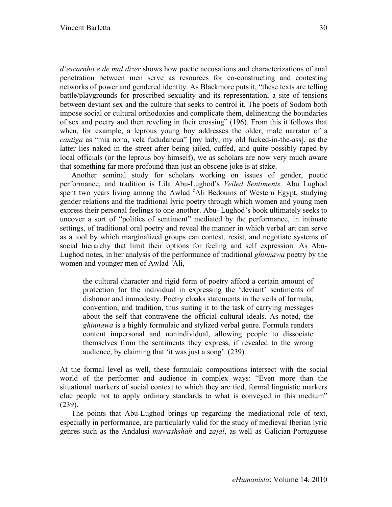*d'escarnho e de mal dizer* shows how poetic accusations and characterizations of anal penetration between men serve as resources for co-constructing and contesting networks of power and gendered identity. As Blackmore puts it, "these texts are telling battle/playgrounds for proscribed sexuality and its representation, a site of tensions between deviant sex and the culture that seeks to control it. The poets of Sodom both impose social or cultural orthodoxies and complicate them, delineating the boundaries of sex and poetry and then reveling in their crossing" (196). From this it follows that when, for example, a leprous young boy addresses the older, male narrator of a *cantiga* as "mia nona, vela fududancua" [my lady, my old fucked-in-the-ass], as the latter lies naked in the street after being jailed, cuffed, and quite possibly raped by local officials (or the leprous boy himself), we as scholars are now very much aware that something far more profound than just an obscene joke is at stake.

Another seminal study for scholars working on issues of gender, poetic performance, and tradition is Lila Abu-Lughod's *Veiled Sentiments*. Abu Lughod spent two years living among the Awlad 'Ali Bedouins of Western Egypt, studying gender relations and the traditional lyric poetry through which women and young men express their personal feelings to one another. Abu- Lughod's book ultimately seeks to uncover a sort of "politics of sentiment" mediated by the performance, in intimate settings, of traditional oral poetry and reveal the manner in which verbal art can serve as a tool by which marginalized groups can contest, resist, and negotiate systems of social hierarchy that limit their options for feeling and self expression. As Abu-Lughod notes, in her analysis of the performance of traditional *ghinnawa* poetry by the women and younger men of Awlad <sup>c</sup>Ali,

the cultural character and rigid form of poetry afford a certain amount of protection for the individual in expressing the 'deviant' sentiments of dishonor and immodesty. Poetry cloaks statements in the veils of formula, convention, and tradition, thus suiting it to the task of carrying messages about the self that contravene the official cultural ideals. As noted, the *ghinnawa* is a highly formulaic and stylized verbal genre. Formula renders content impersonal and nonindividual, allowing people to dissociate themselves from the sentiments they express, if revealed to the wrong audience, by claiming that 'it was just a song'. (239)

At the formal level as well, these formulaic compositions intersect with the social world of the performer and audience in complex ways: "Even more than the situational markers of social context to which they are tied, formal linguistic markers clue people not to apply ordinary standards to what is conveyed in this medium" (239).

The points that Abu-Lughod brings up regarding the mediational role of text, especially in performance, are particularly valid for the study of medieval Iberian lyric genres such as the Andalusi *muwashshah* and *zajal*, as well as Galician-Portuguese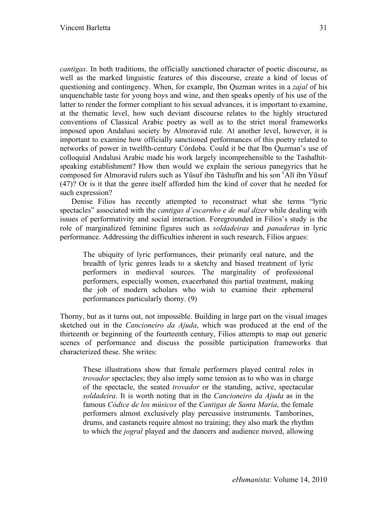*cantigas*. In both traditions, the officially sanctioned character of poetic discourse, as well as the marked linguistic features of this discourse, create a kind of locus of questioning and contingency. When, for example, Ibn Quzman writes in a *zajal* of his unquenchable taste for young boys and wine, and then speaks openly of his use of the latter to render the former compliant to his sexual advances, it is important to examine, at the thematic level, how such deviant discourse relates to the highly structured conventions of Classical Arabic poetry as well as to the strict moral frameworks imposed upon Andalusi society by Almoravid rule. At another level, however, it is important to examine how officially sanctioned performances of this poetry related to networks of power in twelfth-century Córdoba. Could it be that Ibn Quzman's use of colloquial Andalusi Arabic made his work largely incomprehensible to the Tashalhitspeaking establishment? How then would we explain the serious panegyrics that he composed for Almoravid rulers such as Yūsuf ibn Tāshufīn and his son "Alī ibn Yūsuf (47)? Or is it that the genre itself afforded him the kind of cover that he needed for such expression?

Denise Filios has recently attempted to reconstruct what she terms "lyric spectacles" associated with the *cantigas d'escarnho e de mal dizer* while dealing with issues of performativity and social interaction. Foregrounded in Filios's study is the role of marginalized feminine figures such as *soldadeiras* and *panaderas* in lyric performance. Addressing the difficulties inherent in such research, Filios argues:

The ubiquity of lyric performances, their primarily oral nature, and the breadth of lyric genres leads to a sketchy and biased treatment of lyric performers in medieval sources. The marginality of professional performers, especially women, exacerbated this partial treatment, making the job of modern scholars who wish to examine their ephemeral performances particularly thorny. (9)

Thorny, but as it turns out, not impossible. Building in large part on the visual images sketched out in the *Cancioneiro da Ajuda*, which was produced at the end of the thirteenth or beginning of the fourteenth century, Filios attempts to map out generic scenes of performance and discuss the possible participation frameworks that characterized these. She writes:

These illustrations show that female performers played central roles in *trovador* spectacles; they also imply some tension as to who was in charge of the spectacle, the seated *trovador* or the standing, active, spectacular *soldadeira*. It is worth noting that in the *Cancioneiro da Ajuda* as in the famous *Códice de los músicos* of the *Cantigas de Santa María*, the female performers almost exclusively play percussive instruments. Tamborines, drums, and castanets require almost no training; they also mark the rhythm to which the *jogral* played and the dancers and audience moved, allowing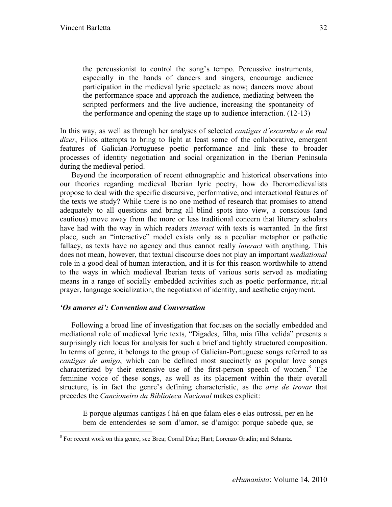the percussionist to control the song's tempo. Percussive instruments, especially in the hands of dancers and singers, encourage audience participation in the medieval lyric spectacle as now; dancers move about the performance space and approach the audience, mediating between the scripted performers and the live audience, increasing the spontaneity of the performance and opening the stage up to audience interaction. (12-13)

In this way, as well as through her analyses of selected *cantigas d'escarnho e de mal dizer*, Filios attempts to bring to light at least some of the collaborative, emergent features of Galician-Portuguese poetic performance and link these to broader processes of identity negotiation and social organization in the Iberian Peninsula during the medieval period.

Beyond the incorporation of recent ethnographic and historical observations into our theories regarding medieval Iberian lyric poetry, how do Iberomedievalists propose to deal with the specific discursive, performative, and interactional features of the texts we study? While there is no one method of research that promises to attend adequately to all questions and bring all blind spots into view, a conscious (and cautious) move away from the more or less traditional concern that literary scholars have had with the way in which readers *interact* with texts is warranted. In the first place, such an "interactive" model exists only as a peculiar metaphor or pathetic fallacy, as texts have no agency and thus cannot really *interact* with anything. This does not mean, however, that textual discourse does not play an important *mediational* role in a good deal of human interaction, and it is for this reason worthwhile to attend to the ways in which medieval Iberian texts of various sorts served as mediating means in a range of socially embedded activities such as poetic performance, ritual prayer, language socialization, the negotiation of identity, and aesthetic enjoyment.

# *'Os amores ei': Convention and Conversation*

Following a broad line of investigation that focuses on the socially embedded and mediational role of medieval lyric texts, "Digades, filha, mia filha velida" presents a surprisingly rich locus for analysis for such a brief and tightly structured composition. In terms of genre, it belongs to the group of Galician-Portuguese songs referred to as *cantigas de amigo*, which can be defined most succinctly as popular love songs characterized by their extensive use of the first-person speech of women.<sup>8</sup> The feminine voice of these songs, as well as its placement within the their overall structure, is in fact the genre's defining characteristic, as the *arte de trovar* that precedes the *Cancioneiro da Biblioteca Nacional* makes explicit:

E porque algumas cantigas í há en que falam eles e elas outrossi, per en he bem de entenderdes se som d'amor, se d'amigo: porque sabede que, se

 <sup>8</sup> <sup>8</sup> For recent work on this genre, see Brea; Corral Díaz; Hart; Lorenzo Gradín; and Schantz.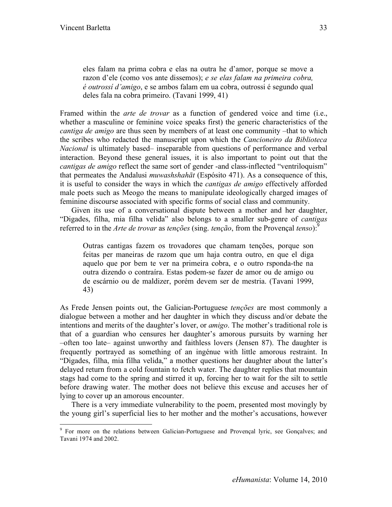eles falam na prima cobra e elas na outra he d'amor, porque se move a razon d'ele (como vos ante dissemos); *e se elas falam na primeira cobra, é outrossí d'amigo*, e se ambos falam em ua cobra, outrossi é segundo qual deles fala na cobra primeiro. (Tavani 1999, 41)

Framed within the *arte de trovar* as a function of gendered voice and time (i.e., whether a masculine or feminine voice speaks first) the generic characteristics of the *cantiga de amigo* are thus seen by members of at least one community –that to which the scribes who redacted the manuscript upon which the *Cancioneiro da Biblioteca Nacional* is ultimately based– inseparable from questions of performance and verbal interaction. Beyond these general issues, it is also important to point out that the *cantigas de amigo* reflect the same sort of gender -and class-inflected "ventriloquism" that permeates the Andalusi *muwashshahāt* (Espósito 471). As a consequence of this, it is useful to consider the ways in which the *cantigas de amigo* effectively afforded male poets such as Meogo the means to manipulate ideologically charged images of feminine discourse associated with specific forms of social class and community.

Given its use of a conversational dispute between a mother and her daughter, "Digades, filha, mia filha velida" also belongs to a smaller sub-genre of *cantigas*  referred to in the *Arte de trovar* as *tenções* (sing. *tenção*, from the Provençal *tenso*): 9

Outras cantigas fazem os trovadores que chamam tenções, porque son feitas per maneiras de razom que um haja contra outro, en que el diga aquelo que por bem te ver na primeira cobra, e o outro rsponda-the na outra dizendo o contraíra. Estas podem-se fazer de amor ou de amigo ou de escárnio ou de maldizer, porém devem ser de mestria. (Tavani 1999, 43)

As Frede Jensen points out, the Galician-Portuguese *tenções* are most commonly a dialogue between a mother and her daughter in which they discuss and/or debate the intentions and merits of the daughter's lover, or *amigo*. The mother's traditional role is that of a guardian who censures her daughter's amorous pursuits by warning her –often too late– against unworthy and faithless lovers (Jensen 87). The daughter is frequently portrayed as something of an ingénue with little amorous restraint. In "Digades, filha, mia filha velida," a mother questions her daughter about the latter's delayed return from a cold fountain to fetch water. The daughter replies that mountain stags had come to the spring and stirred it up, forcing her to wait for the silt to settle before drawing water. The mother does not believe this excuse and accuses her of lying to cover up an amorous encounter.

There is a very immediate vulnerability to the poem, presented most movingly by the young girl's superficial lies to her mother and the mother's accusations, however

<sup>-&</sup>lt;br>9 <sup>9</sup> For more on the relations between Galician-Portuguese and Provençal lyric, see Gonçalves; and Tavani 1974 and 2002.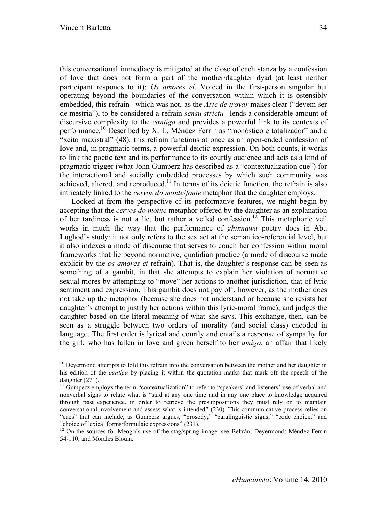this conversational immediacy is mitigated at the close of each stanza by a confession of love that does not form a part of the mother/daughter dyad (at least neither participant responds to it): *Os amores ei*. Voiced in the first-person singular but operating beyond the boundaries of the conversation within which it is ostensibly embedded, this refrain –which was not, as the *Arte de trovar* makes clear ("devem ser de mestria"), to be considered a refrain *sensu strictu*– lends a considerable amount of discursive complexity to the *cantiga* and provides a powerful link to its contexts of performance.10 Described by X. L. Méndez Ferrín as "monóstico e totalizador" and a "xeito maxistral" (48), this refrain functions at once as an open-ended confession of love and, in pragmatic terms, a powerful deictic expression. On both counts, it works to link the poetic text and its performance to its courtly audience and acts as a kind of pragmatic trigger (what John Gumperz has described as a "contextualization cue") for the interactional and socially embedded processes by which such community was achieved, altered, and reproduced.<sup>11</sup> In terms of its deictic function, the refrain is also intricately linked to the *cervos do monte*/*fonte* metaphor that the daughter employs.

Looked at from the perspective of its performative features, we might begin by accepting that the *cervos do monte* metaphor offered by the daughter as an explanation of her tardiness is not a lie, but rather a veiled confession.<sup>12</sup> This metaphoric veil works in much the way that the performance of *ghinnawa* poetry does in Abu Lughod's study: it not only refers to the sex act at the semantico-referential level, but it also indexes a mode of discourse that serves to couch her confession within moral frameworks that lie beyond normative, quotidian practice (a mode of discourse made explicit by the *os amores ei* refrain). That is, the daughter's response can be seen as something of a gambit, in that she attempts to explain her violation of normative sexual mores by attempting to "move" her actions to another jurisdiction, that of lyric sentiment and expression. This gambit does not pay off, however, as the mother does not take up the metaphor (because she does not understand or because she resists her daughter's attempt to justify her actions within this lyric-moral frame), and judges the daughter based on the literal meaning of what she says. This exchange, then, can be seen as a struggle between two orders of morality (and social class) encoded in language. The first order is lyrical and courtly and entails a response of sympathy for the girl, who has fallen in love and given herself to her *amigo*, an affair that likely

 $10$  Devermond attempts to fold this refrain into the conversation between the mother and her daughter in his edition of the *cantiga* by placing it within the quotation marks that mark off the speech of the daughter (271).<br><sup>11</sup> Gumperz employs the term "contextualization" to refer to "speakers' and listeners' use of verbal and

nonverbal signs to relate what is "said at any one time and in any one place to knowledge acquired through past experience, in order to retrieve the presuppositions they must rely on to maintain conversational involvement and assess what is intended" (230). This communicative process relies on "cues" that can include, as Gumperz argues, "prosody;" "paralinguistic signs;" "code choice;" and "choice of lexical forms/formulaic expressions" (231).<br><sup>12</sup> On the sources for Meogo's use of the stag/spring image, see Beltrán; Deyermond; Méndez Ferrín

<sup>54-110;</sup> and Morales Blouin*.*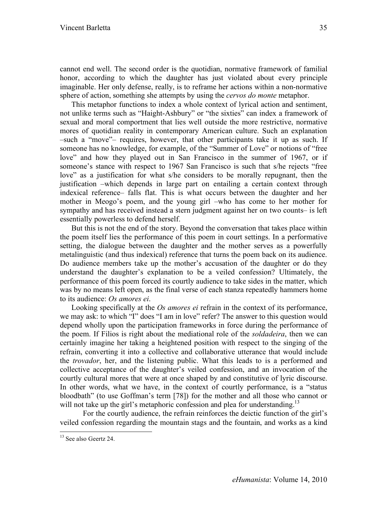cannot end well. The second order is the quotidian, normative framework of familial honor, according to which the daughter has just violated about every principle imaginable. Her only defense, really, is to reframe her actions within a non-normative sphere of action, something she attempts by using the *cervos do monte* metaphor.

This metaphor functions to index a whole context of lyrical action and sentiment, not unlike terms such as "Haight-Ashbury" or "the sixties" can index a framework of sexual and moral comportment that lies well outside the more restrictive, normative mores of quotidian reality in contemporary American culture. Such an explanation –such a "move"– requires, however, that other participants take it up as such. If someone has no knowledge, for example, of the "Summer of Love" or notions of "free love" and how they played out in San Francisco in the summer of 1967, or if someone's stance with respect to 1967 San Francisco is such that s/he rejects "free love" as a justification for what s/he considers to be morally repugnant, then the justification –which depends in large part on entailing a certain context through indexical reference– falls flat. This is what occurs between the daughter and her mother in Meogo's poem, and the young girl –who has come to her mother for sympathy and has received instead a stern judgment against her on two counts– is left essentially powerless to defend herself.

But this is not the end of the story. Beyond the conversation that takes place within the poem itself lies the performance of this poem in court settings. In a performative setting, the dialogue between the daughter and the mother serves as a powerfully metalinguistic (and thus indexical) reference that turns the poem back on its audience. Do audience members take up the mother's accusation of the daughter or do they understand the daughter's explanation to be a veiled confession? Ultimately, the performance of this poem forced its courtly audience to take sides in the matter, which was by no means left open, as the final verse of each stanza repeatedly hammers home to its audience: *Os amores ei*.

Looking specifically at the *Os amores ei* refrain in the context of its performance, we may ask: to which "I" does "I am in love" refer? The answer to this question would depend wholly upon the participation frameworks in force during the performance of the poem. If Filios is right about the mediational role of the *soldadeira*, then we can certainly imagine her taking a heightened position with respect to the singing of the refrain, converting it into a collective and collaborative utterance that would include the *trovador*, her, and the listening public. What this leads to is a performed and collective acceptance of the daughter's veiled confession, and an invocation of the courtly cultural mores that were at once shaped by and constitutive of lyric discourse. In other words, what we have, in the context of courtly performance, is a "status bloodbath" (to use Goffman's term [78]) for the mother and all those who cannot or will not take up the girl's metaphoric confession and plea for understanding.<sup>13</sup>

For the courtly audience, the refrain reinforces the deictic function of the girl's veiled confession regarding the mountain stags and the fountain, and works as a kind

<sup>&</sup>lt;sup>13</sup> See also Geertz 24.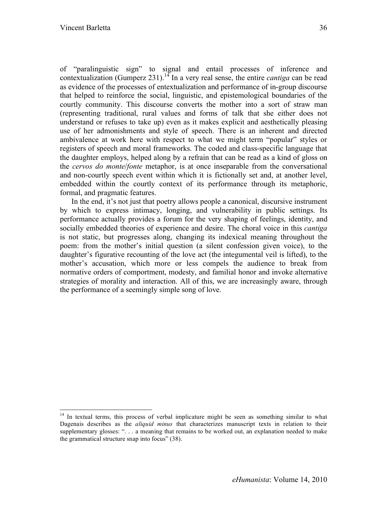of "paralinguistic sign" to signal and entail processes of inference and contextualization (Gumperz 231).14 In a very real sense, the entire *cantiga* can be read as evidence of the processes of entextualization and performance of in-group discourse that helped to reinforce the social, linguistic, and epistemological boundaries of the courtly community. This discourse converts the mother into a sort of straw man (representing traditional, rural values and forms of talk that she either does not understand or refuses to take up) even as it makes explicit and aesthetically pleasing use of her admonishments and style of speech. There is an inherent and directed ambivalence at work here with respect to what we might term "popular" styles or registers of speech and moral frameworks. The coded and class-specific language that the daughter employs, helped along by a refrain that can be read as a kind of gloss on the *cervos do monte*/*fonte* metaphor, is at once inseparable from the conversational and non-courtly speech event within which it is fictionally set and, at another level, embedded within the courtly context of its performance through its metaphoric, formal, and pragmatic features.

In the end, it's not just that poetry allows people a canonical, discursive instrument by which to express intimacy, longing, and vulnerability in public settings. Its performance actually provides a forum for the very shaping of feelings, identity, and socially embedded theories of experience and desire. The choral voice in this *cantiga* is not static, but progresses along, changing its indexical meaning throughout the poem: from the mother's initial question (a silent confession given voice), to the daughter's figurative recounting of the love act (the integumental veil is lifted), to the mother's accusation, which more or less compels the audience to break from normative orders of comportment, modesty, and familial honor and invoke alternative strategies of morality and interaction. All of this, we are increasingly aware, through the performance of a seemingly simple song of love.

<sup>&</sup>lt;sup>14</sup> In textual terms, this process of verbal implicature might be seen as something similar to what Dagenais describes as the *aliquid minus* that characterizes manuscript texts in relation to their supplementary glosses: ". . . a meaning that remains to be worked out, an explanation needed to make the grammatical structure snap into focus" (38).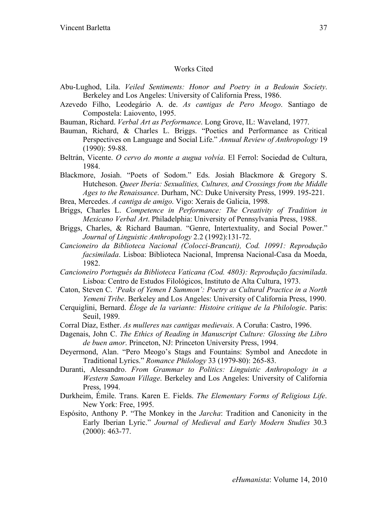# Works Cited

- Abu-Lughod, Lila. *Veiled Sentiments: Honor and Poetry in a Bedouin Society*. Berkeley and Los Angeles: University of California Press, 1986.
- Azevedo Filho, Leodegário A. de. *As cantigas de Pero Meogo*. Santiago de Compostela: Laiovento, 1995.
- Bauman, Richard. *Verbal Art as Performance*. Long Grove, IL: Waveland, 1977.
- Bauman, Richard, & Charles L. Briggs. "Poetics and Performance as Critical Perspectives on Language and Social Life." *Annual Review of Anthropology* 19 (1990): 59-88.
- Beltrán, Vicente. *O cervo do monte a augua volvía*. El Ferrol: Sociedad de Cultura, 1984.
- Blackmore, Josiah. "Poets of Sodom." Eds. Josiah Blackmore & Gregory S. Hutcheson. *Queer Iberia: Sexualities, Cultures, and Crossings from the Middle Ages to the Renaissance*. Durham, NC: Duke University Press, 1999. 195-221.

Brea, Mercedes. *A cantiga de amigo*. Vigo: Xerais de Galicia, 1998.

- Briggs, Charles L. *Competence in Performance: The Creativity of Tradition in Mexicano Verbal Art*. Philadelphia: University of Pennsylvania Press, 1988.
- Briggs, Charles, & Richard Bauman. "Genre, Intertextuality, and Social Power." *Journal of Linguistic Anthropology* 2.2 (1992):131-72.
- *Cancioneiro da Biblioteca Nacional (Colocci-Brancuti), Cod. 10991: Reprodução facsimilada*. Lisboa: Biblioteca Nacional, Imprensa Nacional-Casa da Moeda, 1982.
- *Cancioneiro Português da Biblioteca Vaticana (Cod. 4803): Reprodução facsimilada*. Lisboa: Centro de Estudos Filológicos, Instituto de Alta Cultura, 1973.
- Caton, Steven C. *'Peaks of Yemen I Summon': Poetry as Cultural Practice in a North Yemeni Tribe*. Berkeley and Los Angeles: University of California Press, 1990.
- Cerquiglini, Bernard. *Éloge de la variante: Histoire critique de la Philologie*. Paris: Seuil, 1989.
- Corral Díaz, Esther. *As mulleres nas cantigas medievais*. A Coruña: Castro, 1996.
- Dagenais, John C. *The Ethics of Reading in Manuscript Culture: Glossing the Libro de buen amor*. Princeton, NJ: Princeton University Press, 1994.
- Deyermond, Alan. "Pero Meogo's Stags and Fountains: Symbol and Anecdote in Traditional Lyrics." *Romance Philology* 33 (1979-80): 265-83.
- Duranti, Alessandro. *From Grammar to Politics: Linguistic Anthropology in a Western Samoan Village*. Berkeley and Los Angeles: University of California Press, 1994.
- Durkheim, Émile. Trans. Karen E. Fields. *The Elementary Forms of Religious Life*. New York: Free, 1995.
- Espósito, Anthony P. "The Monkey in the *Jarcha*: Tradition and Canonicity in the Early Iberian Lyric." *Journal of Medieval and Early Modern Studies* 30.3 (2000): 463-77.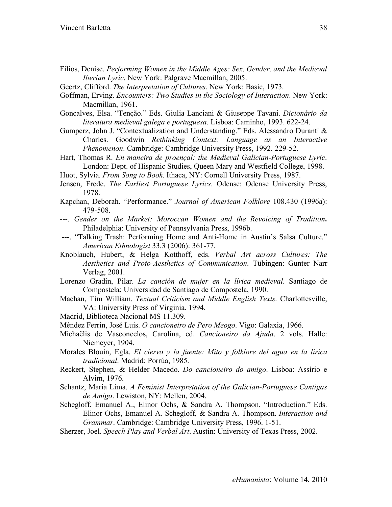- Filios, Denise. *Performing Women in the Middle Ages: Sex, Gender, and the Medieval Iberian Lyric*. New York: Palgrave Macmillan, 2005.
- Geertz, Clifford. *The Interpretation of Cultures*. New York: Basic, 1973.
- Goffman, Erving. *Encounters: Two Studies in the Sociology of Interaction*. New York: Macmillan, 1961.
- Gonçalves, Elsa. "Tenção." Eds. Giulia Lanciani & Giuseppe Tavani. *Dicionário da literatura medieval galega e portuguesa*. Lisboa: Caminho, 1993. 622-24.
- Gumperz, John J. "Contextualization and Understanding." Eds. Alessandro Duranti & Charles. Goodwin *Rethinking Context: Language as an Interactive Phenomenon*. Cambridge: Cambridge University Press, 1992. 229-52.
- Hart, Thomas R. *En maneira de proençal: the Medieval Galician-Portuguese Lyric*. London: Dept. of Hispanic Studies, Queen Mary and Westfield College, 1998.
- Huot, Sylvia. *From Song to Book*. Ithaca, NY: Cornell University Press, 1987.
- Jensen, Frede. *The Earliest Portuguese Lyrics*. Odense: Odense University Press, 1978.
- Kapchan, Deborah. "Performance." *Journal of American Folklore* 108.430 (1996a): 479-508.
- ---. *Gender on the Market: Moroccan Women and the Revoicing of Tradition***.** Philadelphia: University of Pennsylvania Press, 1996b.
- ---. "Talking Trash: Performing Home and Anti-Home in Austin's Salsa Culture." *American Ethnologist* 33.3 (2006): 361-77.
- Knoblauch, Hubert, & Helga Kotthoff, eds. *Verbal Art across Cultures: The Aesthetics and Proto-Aesthetics of Communication*. Tübingen: Gunter Narr Verlag, 2001.
- Lorenzo Gradín, Pilar. *La canción de mujer en la lírica medieval*. Santiago de Compostela: Universidad de Santiago de Compostela, 1990.
- Machan, Tim William. *Textual Criticism and Middle English Texts*. Charlottesville, VA: University Press of Virginia. 1994.
- Madrid, Biblioteca Nacional MS 11.309.
- Méndez Ferrín, José Luis. *O cancioneiro de Pero Meogo*. Vigo: Galaxia, 1966.
- Michaëlis de Vasconcelos, Carolina, ed. *Cancioneiro da Ajuda*. 2 vols. Halle: Niemeyer, 1904.
- Morales Blouin, Egla. *El ciervo y la fuente: Mito y folklore del agua en la lírica tradicional*. Madrid: Porrúa, 1985.
- Reckert, Stephen, & Helder Macedo. *Do cancioneiro do amigo*. Lisboa: Assírio e Alvim, 1976.
- Schantz, Maria Lima. *A Feminist Interpretation of the Galician-Portuguese Cantigas de Amigo*. Lewiston, NY: Mellen, 2004.
- Schegloff, Emanuel A., Elinor Ochs, & Sandra A. Thompson. "Introduction." Eds. Elinor Ochs, Emanuel A. Schegloff, & Sandra A. Thompson. *Interaction and Grammar*. Cambridge: Cambridge University Press, 1996. 1-51.
- Sherzer, Joel. *Speech Play and Verbal Art*. Austin: University of Texas Press, 2002.